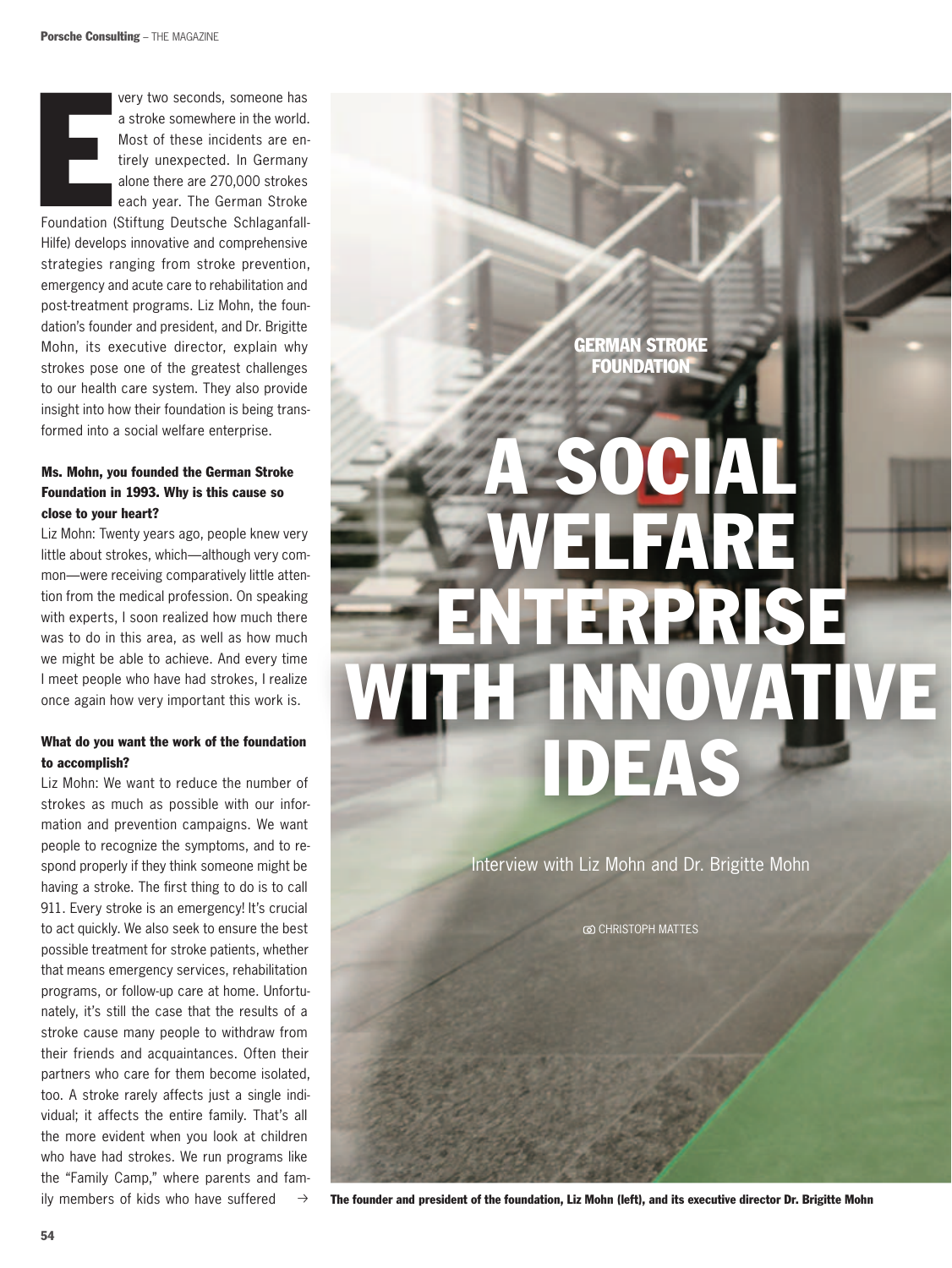Example 1 very two seconds, someone has a stroke somewhere in the world. Most of these incidents are entirely unexpected. In Germany alone there are 270,000 strokes each year. The German Stroke

Foundation (Stiftung Deutsche Schlaganfall-Hilfe) develops innovative and comprehensive strategies ranging from stroke prevention, emergency and acute care to rehabilitation and post-treatment programs. Liz Mohn, the foundation's founder and president, and Dr. Brigitte Mohn, its executive director, explain why strokes pose one of the greatest challenges to our health care system. They also provide insight into how their foundation is being transformed into a social welfare enterprise.

# Ms. Mohn, you founded the German Stroke Foundation in 1993. Why is this cause so close to your heart?

Liz Mohn: Twenty years ago, people knew very little about strokes, which—although very common—were receiving comparatively little attention from the medical profession. On speaking with experts, I soon realized how much there was to do in this area, as well as how much we might be able to achieve. And every time I meet people who have had strokes, I realize once again how very important this work is.

#### What do you want the work of the foundation to accomplish?

Liz Mohn: We want to reduce the number of strokes as much as possible with our information and prevention campaigns. We want people to recognize the symptoms, and to respond properly if they think someone might be having a stroke. The first thing to do is to call 911. Every stroke is an emergency! It's crucial to act quickly. We also seek to ensure the best possible treatment for stroke patients, whether that means emergency services, rehabilitation programs, or follow-up care at home. Unfortunately, it's still the case that the results of a stroke cause many people to withdraw from their friends and acquaintances. Often their partners who care for them become isolated, too. A stroke rarely affects just a single individual; it affects the entire family. That's all the more evident when you look at children who have had strokes. We run programs like the "Family Camp," where parents and fam- $\rightarrow$ 

# GERMAN STROKE **FOUNDATION**

# A SOCIAL WEE ENTERPRISE TH INNOVATIVE IDEAS

Interview with Liz Mohn and Dr. Brigitte Mohn

CHRISTOPH MATTES

ily members of kids who have suffered  $\rightarrow$  The founder and president of the foundation, Liz Mohn (left), and its executive director Dr. Brigitte Mohn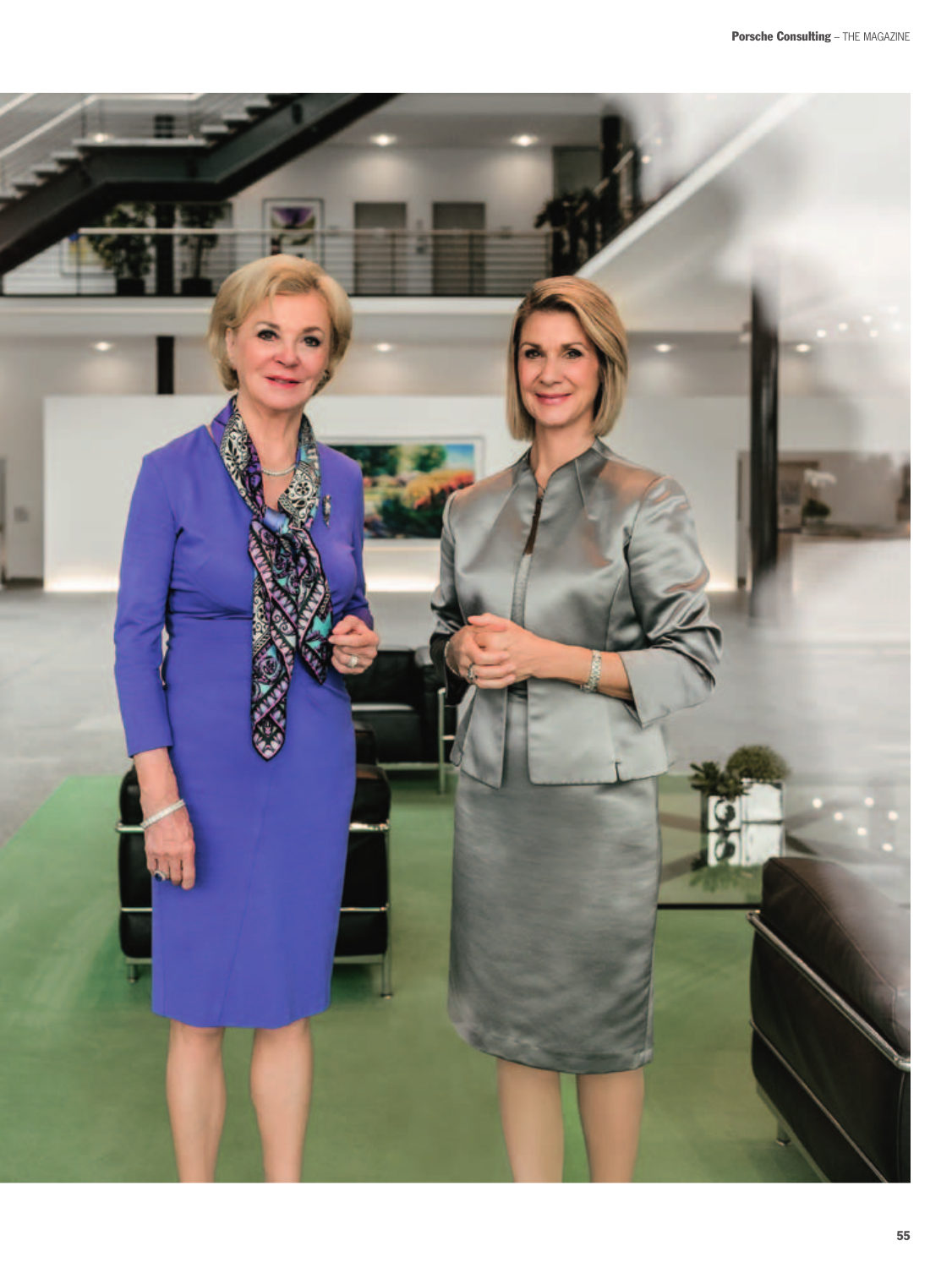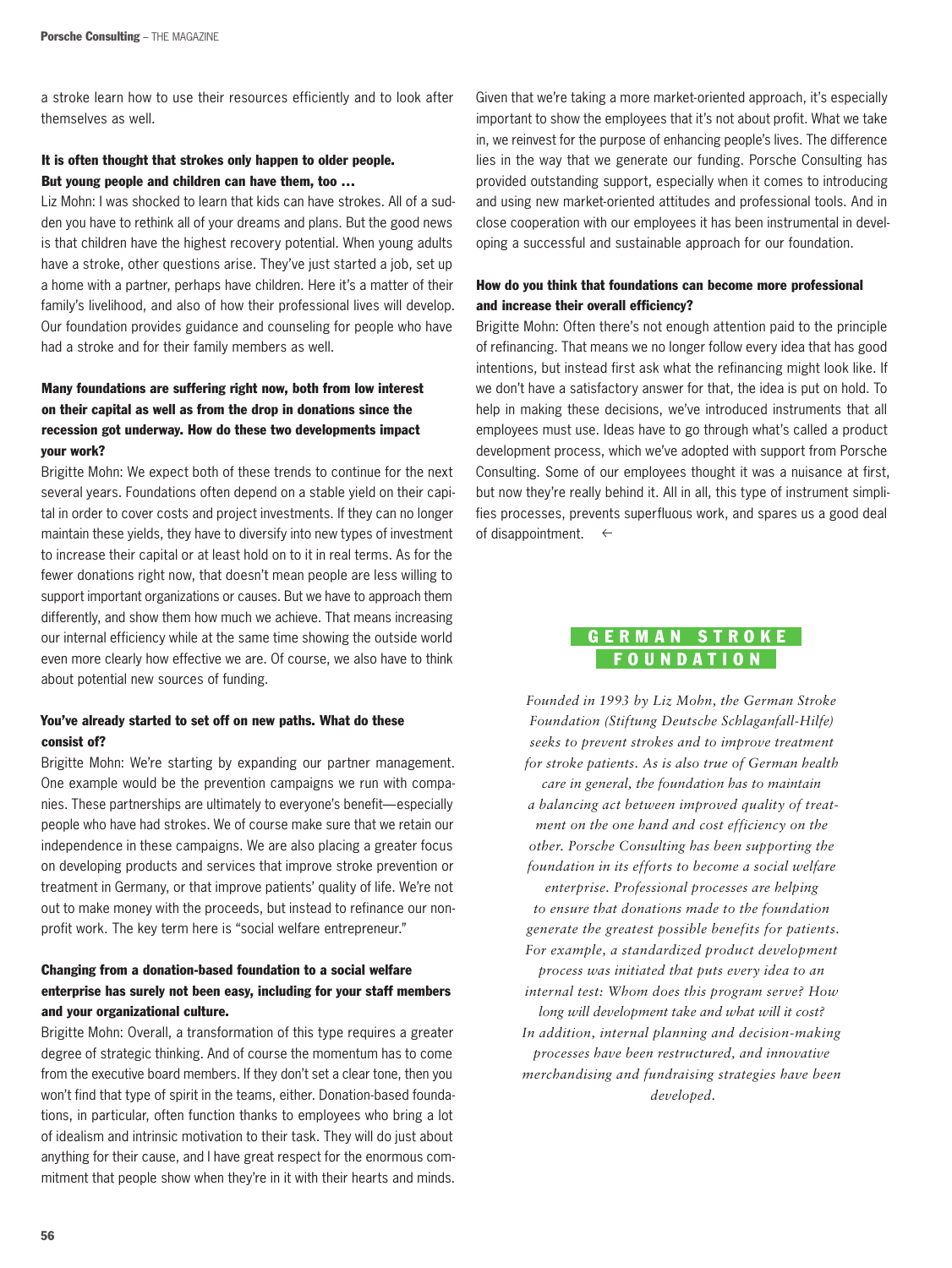a stroke learn how to use their resources efficiently and to look after themselves as well.

#### It is often thought that strokes only happen to older people. But young people and children can have them, too …

Liz Mohn: I was shocked to learn that kids can have strokes. All of a sudden you have to rethink all of your dreams and plans. But the good news is that children have the highest recovery potential. When young adults have a stroke, other questions arise. They've just started a job, set up a home with a partner, perhaps have children. Here it's a matter of their family's livelihood, and also of how their professional lives will develop. Our foundation provides guidance and counseling for people who have had a stroke and for their family members as well.

# Many foundations are suffering right now, both from low interest on their capital as well as from the drop in donations since the recession got underway. How do these two developments impact your work?

Brigitte Mohn: We expect both of these trends to continue for the next several years. Foundations often depend on a stable yield on their capital in order to cover costs and project investments. If they can no longer maintain these yields, they have to diversify into new types of investment to increase their capital or at least hold on to it in real terms. As for the fewer donations right now, that doesn't mean people are less willing to support important organizations or causes. But we have to approach them differently, and show them how much we achieve. That means increasing our internal efficiency while at the same time showing the outside world even more clearly how effective we are. Of course, we also have to think about potential new sources of funding.

## You've already started to set off on new paths. What do these consist of?

Brigitte Mohn: We're starting by expanding our partner management. One example would be the prevention campaigns we run with companies. These partnerships are ultimately to everyone's benefit—especially people who have had strokes. We of course make sure that we retain our independence in these campaigns. We are also placing a greater focus on developing products and services that improve stroke prevention or treatment in Germany, or that improve patients' quality of life. We're not out to make money with the proceeds, but instead to refinance our nonprofit work. The key term here is "social welfare entrepreneur."

## Changing from a donation-based foundation to a social welfare enterprise has surely not been easy, including for your staff members and your organizational culture.

Brigitte Mohn: Overall, a transformation of this type requires a greater degree of strategic thinking. And of course the momentum has to come from the executive board members. If they don't set a clear tone, then you won't find that type of spirit in the teams, either. Donation-based foundations, in particular, often function thanks to employees who bring a lot of idealism and intrinsic motivation to their task. They will do just about anything for their cause, and I have great respect for the enormous commitment that people show when they're in it with their hearts and minds. Given that we're taking a more market-oriented approach, it's especially important to show the employees that it's not about profit. What we take in, we reinvest for the purpose of enhancing people's lives. The difference lies in the way that we generate our funding. Porsche Consulting has provided outstanding support, especially when it comes to introducing and using new market-oriented attitudes and professional tools. And in close cooperation with our employees it has been instrumental in developing a successful and sustainable approach for our foundation.

### How do you think that foundations can become more professional and increase their overall efficiency?

Brigitte Mohn: Often there's not enough attention paid to the principle of refinancing. That means we no longer follow every idea that has good intentions, but instead first ask what the refinancing might look like. If we don't have a satisfactory answer for that, the idea is put on hold. To help in making these decisions, we've introduced instruments that all employees must use. Ideas have to go through what's called a product development process, which we've adopted with support from Porsche Consulting. Some of our employees thought it was a nuisance at first, but now they're really behind it. All in all, this type of instrument simplifies processes, prevents superfluous work, and spares us a good deal of disappointment.  $\leftarrow$ 

# **GERMAN STROKE** F O U N D A T I O N

*Founded in 1993 by Liz Mohn, the German Stroke Foundation (Stiftung Deutsche Schlaganfall-Hilfe) seeks to prevent strokes and to improve treatment for stroke patients. As is also true of German health care in general, the foundation has to maintain a balancing act between improved quality of treatment on the one hand and cost efficiency on the other. Porsche Consulting has been supporting the foundation in its efforts to become a social welfare enterprise. Professional processes are helping to ensure that donations made to the foundation generate the greatest possible benefits for patients. For example, a standardized product development process was initiated that puts every idea to an internal test: Whom does this program serve? How long will development take and what will it cost? In addition, internal planning and decision-making processes have been restructured, and innovative merchandising and fundraising strategies have been developed.*